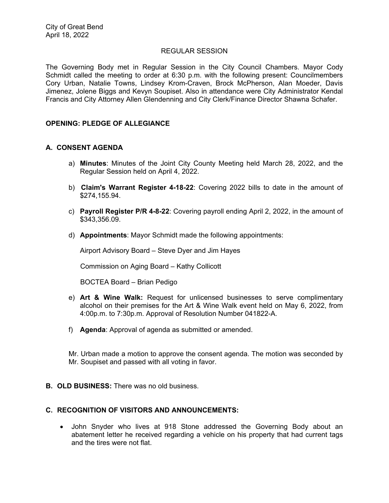### REGULAR SESSION

The Governing Body met in Regular Session in the City Council Chambers. Mayor Cody Schmidt called the meeting to order at 6:30 p.m. with the following present: Councilmembers Cory Urban, Natalie Towns, Lindsey Krom-Craven, Brock McPherson, Alan Moeder, Davis Jimenez, Jolene Biggs and Kevyn Soupiset. Also in attendance were City Administrator Kendal Francis and City Attorney Allen Glendenning and City Clerk/Finance Director Shawna Schafer.

# **OPENING: PLEDGE OF ALLEGIANCE**

# **A. CONSENT AGENDA**

- a) **Minutes**: Minutes of the Joint City County Meeting held March 28, 2022, and the Regular Session held on April 4, 2022.
- b) **Claim's Warrant Register 4-18-22**: Covering 2022 bills to date in the amount of \$274,155.94.
- c) **Payroll Register P/R 4-8-22**: Covering payroll ending April 2, 2022, in the amount of \$343,356.09.
- d) **Appointments**: Mayor Schmidt made the following appointments:

Airport Advisory Board – Steve Dyer and Jim Hayes

Commission on Aging Board – Kathy Collicott

BOCTEA Board – Brian Pedigo

- e) **Art & Wine Walk:** Request for unlicensed businesses to serve complimentary alcohol on their premises for the Art & Wine Walk event held on May 6, 2022, from 4:00p.m. to 7:30p.m. Approval of Resolution Number 041822-A.
- f) **Agenda**: Approval of agenda as submitted or amended.

Mr. Urban made a motion to approve the consent agenda. The motion was seconded by Mr. Soupiset and passed with all voting in favor.

**B. OLD BUSINESS:** There was no old business.

# **C. RECOGNITION OF VISITORS AND ANNOUNCEMENTS:**

 John Snyder who lives at 918 Stone addressed the Governing Body about an abatement letter he received regarding a vehicle on his property that had current tags and the tires were not flat.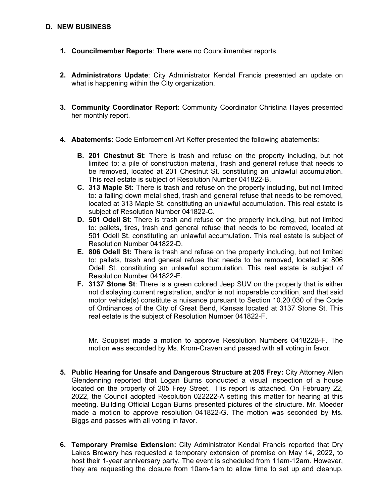## **D. NEW BUSINESS**

- **1. Councilmember Reports**: There were no Councilmember reports.
- **2. Administrators Update**: City Administrator Kendal Francis presented an update on what is happening within the City organization.
- **3. Community Coordinator Report**: Community Coordinator Christina Hayes presented her monthly report.
- **4. Abatements**: Code Enforcement Art Keffer presented the following abatements:
	- **B. 201 Chestnut St**: There is trash and refuse on the property including, but not limited to: a pile of construction material, trash and general refuse that needs to be removed, located at 201 Chestnut St. constituting an unlawful accumulation. This real estate is subject of Resolution Number 041822-B.
	- **C. 313 Maple St:** There is trash and refuse on the property including, but not limited to: a falling down metal shed, trash and general refuse that needs to be removed, located at 313 Maple St. constituting an unlawful accumulation. This real estate is subject of Resolution Number 041822-C.
	- **D. 501 Odell St**: There is trash and refuse on the property including, but not limited to: pallets, tires, trash and general refuse that needs to be removed, located at 501 Odell St. constituting an unlawful accumulation. This real estate is subject of Resolution Number 041822-D.
	- **E. 806 Odell St:** There is trash and refuse on the property including, but not limited to: pallets, trash and general refuse that needs to be removed, located at 806 Odell St. constituting an unlawful accumulation. This real estate is subject of Resolution Number 041822-E.
	- **F. 3137 Stone St**: There is a green colored Jeep SUV on the property that is either not displaying current registration, and/or is not inoperable condition, and that said motor vehicle(s) constitute a nuisance pursuant to Section 10.20.030 of the Code of Ordinances of the City of Great Bend, Kansas located at 3137 Stone St. This real estate is the subject of Resolution Number 041822-F.

Mr. Soupiset made a motion to approve Resolution Numbers 041822B-F. The motion was seconded by Ms. Krom-Craven and passed with all voting in favor.

- **5. Public Hearing for Unsafe and Dangerous Structure at 205 Frey:** City Attorney Allen Glendenning reported that Logan Burns conducted a visual inspection of a house located on the property of 205 Frey Street. His report is attached. On February 22, 2022, the Council adopted Resolution 022222-A setting this matter for hearing at this meeting. Building Official Logan Burns presented pictures of the structure. Mr. Moeder made a motion to approve resolution 041822-G. The motion was seconded by Ms. Biggs and passes with all voting in favor.
- **6. Temporary Premise Extension:** City Administrator Kendal Francis reported that Dry Lakes Brewery has requested a temporary extension of premise on May 14, 2022, to host their 1-year anniversary party. The event is scheduled from 11am-12am. However, they are requesting the closure from 10am-1am to allow time to set up and cleanup.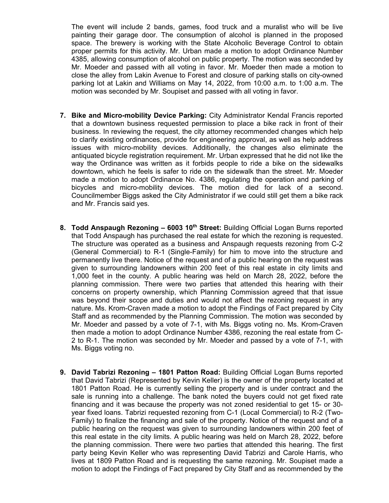The event will include 2 bands, games, food truck and a muralist who will be live painting their garage door. The consumption of alcohol is planned in the proposed space. The brewery is working with the State Alcoholic Beverage Control to obtain proper permits for this activity. Mr. Urban made a motion to adopt Ordinance Number 4385, allowing consumption of alcohol on public property. The motion was seconded by Mr. Moeder and passed with all voting in favor. Mr. Moeder then made a motion to close the alley from Lakin Avenue to Forest and closure of parking stalls on city-owned parking lot at Lakin and Williams on May 14, 2022, from 10:00 a.m. to 1:00 a.m. The motion was seconded by Mr. Soupiset and passed with all voting in favor.

- **7. Bike and Micro-mobility Device Parking:** City Administrator Kendal Francis reported that a downtown business requested permission to place a bike rack in front of their business. In reviewing the request, the city attorney recommended changes which help to clarify existing ordinances, provide for engineering approval, as well as help address issues with micro-mobility devices. Additionally, the changes also eliminate the antiquated bicycle registration requirement. Mr. Urban expressed that he did not like the way the Ordinance was written as it forbids people to ride a bike on the sidewalks downtown, which he feels is safer to ride on the sidewalk than the street. Mr. Moeder made a motion to adopt Ordinance No. 4386, regulating the operation and parking of bicycles and micro-mobility devices. The motion died for lack of a second. Councilmember Biggs asked the City Administrator if we could still get them a bike rack and Mr. Francis said yes.
- **8. Todd Anspaugh Rezoning 6003 10<sup>th</sup> Street:** Building Official Logan Burns reported that Todd Anspaugh has purchased the real estate for which the rezoning is requested. The structure was operated as a business and Anspaugh requests rezoning from C-2 (General Commercial) to R-1 (Single-Family) for him to move into the structure and permanently live there. Notice of the request and of a public hearing on the request was given to surrounding landowners within 200 feet of this real estate in city limits and 1,000 feet in the county. A public hearing was held on March 28, 2022, before the planning commission. There were two parties that attended this hearing with their concerns on property ownership, which Planning Commission agreed that that issue was beyond their scope and duties and would not affect the rezoning request in any nature. Ms. Krom-Craven made a motion to adopt the Findings of Fact prepared by City Staff and as recommended by the Planning Commission. The motion was seconded by Mr. Moeder and passed by a vote of 7-1, with Ms. Biggs voting no. Ms. Krom-Craven then made a motion to adopt Ordinance Number 4386, rezoning the real estate from C-2 to R-1. The motion was seconded by Mr. Moeder and passed by a vote of 7-1, with Ms. Biggs voting no.
- **9. David Tabrizi Rezoning 1801 Patton Road:** Building Official Logan Burns reported that David Tabrizi (Represented by Kevin Keller) is the owner of the property located at 1801 Patton Road. He is currently selling the property and is under contract and the sale is running into a challenge. The bank noted the buyers could not get fixed rate financing and it was because the property was not zoned residential to get 15- or 30 year fixed loans. Tabrizi requested rezoning from C-1 (Local Commercial) to R-2 (Two-Family) to finalize the financing and sale of the property. Notice of the request and of a public hearing on the request was given to surrounding landowners within 200 feet of this real estate in the city limits. A public hearing was held on March 28, 2022, before the planning commission. There were two parties that attended this hearing. The first party being Kevin Keller who was representing David Tabrizi and Carole Harris, who lives at 1809 Patton Road and is requesting the same rezoning. Mr. Soupiset made a motion to adopt the Findings of Fact prepared by City Staff and as recommended by the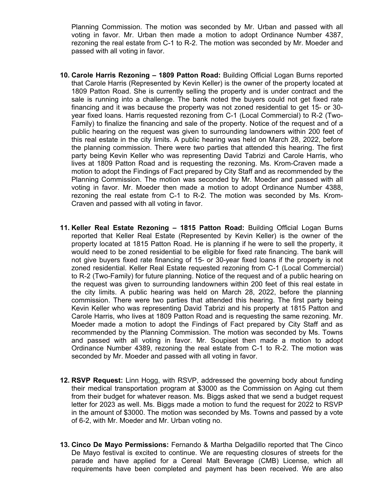Planning Commission. The motion was seconded by Mr. Urban and passed with all voting in favor. Mr. Urban then made a motion to adopt Ordinance Number 4387, rezoning the real estate from C-1 to R-2. The motion was seconded by Mr. Moeder and passed with all voting in favor.

- **10. Carole Harris Rezoning 1809 Patton Road:** Building Official Logan Burns reported that Carole Harris (Represented by Kevin Keller) is the owner of the property located at 1809 Patton Road. She is currently selling the property and is under contract and the sale is running into a challenge. The bank noted the buyers could not get fixed rate financing and it was because the property was not zoned residential to get 15- or 30 year fixed loans. Harris requested rezoning from C-1 (Local Commercial) to R-2 (Two-Family) to finalize the financing and sale of the property. Notice of the request and of a public hearing on the request was given to surrounding landowners within 200 feet of this real estate in the city limits. A public hearing was held on March 28, 2022, before the planning commission. There were two parties that attended this hearing. The first party being Kevin Keller who was representing David Tabrizi and Carole Harris, who lives at 1809 Patton Road and is requesting the rezoning. Ms. Krom-Craven made a motion to adopt the Findings of Fact prepared by City Staff and as recommended by the Planning Commission. The motion was seconded by Mr. Moeder and passed with all voting in favor. Mr. Moeder then made a motion to adopt Ordinance Number 4388, rezoning the real estate from C-1 to R-2. The motion was seconded by Ms. Krom-Craven and passed with all voting in favor.
- **11. Keller Real Estate Rezoning 1815 Patton Road:** Building Official Logan Burns reported that Keller Real Estate (Represented by Kevin Keller) is the owner of the property located at 1815 Patton Road. He is planning if he were to sell the property, it would need to be zoned residential to be eligible for fixed rate financing. The bank will not give buyers fixed rate financing of 15- or 30-year fixed loans if the property is not zoned residential. Keller Real Estate requested rezoning from C-1 (Local Commercial) to R-2 (Two-Family) for future planning. Notice of the request and of a public hearing on the request was given to surrounding landowners within 200 feet of this real estate in the city limits. A public hearing was held on March 28, 2022, before the planning commission. There were two parties that attended this hearing. The first party being Kevin Keller who was representing David Tabrizi and his property at 1815 Patton and Carole Harris, who lives at 1809 Patton Road and is requesting the same rezoning. Mr. Moeder made a motion to adopt the Findings of Fact prepared by City Staff and as recommended by the Planning Commission. The motion was seconded by Ms. Towns and passed with all voting in favor. Mr. Soupiset then made a motion to adopt Ordinance Number 4389, rezoning the real estate from C-1 to R-2. The motion was seconded by Mr. Moeder and passed with all voting in favor.
- **12. RSVP Request:** Linn Hogg, with RSVP, addressed the governing body about funding their medical transportation program at \$3000 as the Commission on Aging cut them from their budget for whatever reason. Ms. Biggs asked that we send a budget request letter for 2023 as well. Ms. Biggs made a motion to fund the request for 2022 to RSVP in the amount of \$3000. The motion was seconded by Ms. Towns and passed by a vote of 6-2, with Mr. Moeder and Mr. Urban voting no.
- **13. Cinco De Mayo Permissions:** Fernando & Martha Delgadillo reported that The Cinco De Mayo festival is excited to continue. We are requesting closures of streets for the parade and have applied for a Cereal Malt Beverage (CMB) License, which all requirements have been completed and payment has been received. We are also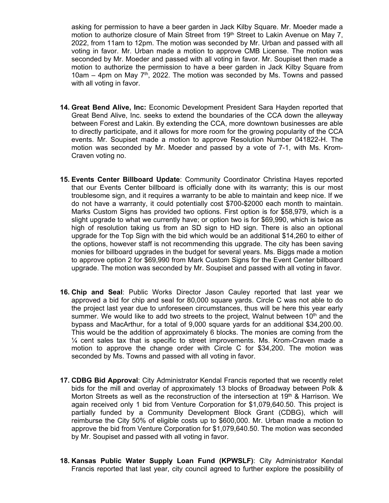asking for permission to have a beer garden in Jack Kilby Square. Mr. Moeder made a motion to authorize closure of Main Street from 19<sup>th</sup> Street to Lakin Avenue on May 7, 2022, from 11am to 12pm. The motion was seconded by Mr. Urban and passed with all voting in favor. Mr. Urban made a motion to approve CMB License. The motion was seconded by Mr. Moeder and passed with all voting in favor. Mr. Soupiset then made a motion to authorize the permission to have a beer garden in Jack Kilby Square from 10am  $-$  4pm on May  $7<sup>th</sup>$ , 2022. The motion was seconded by Ms. Towns and passed with all voting in favor.

- **14. Great Bend Alive, Inc:** Economic Development President Sara Hayden reported that Great Bend Alive, Inc. seeks to extend the boundaries of the CCA down the alleyway between Forest and Lakin. By extending the CCA, more downtown businesses are able to directly participate, and it allows for more room for the growing popularity of the CCA events. Mr. Soupiset made a motion to approve Resolution Number 041822-H. The motion was seconded by Mr. Moeder and passed by a vote of 7-1, with Ms. Krom-Craven voting no.
- **15. Events Center Billboard Update**: Community Coordinator Christina Hayes reported that our Events Center billboard is officially done with its warranty; this is our most troublesome sign, and it requires a warranty to be able to maintain and keep nice. If we do not have a warranty, it could potentially cost \$700-\$2000 each month to maintain. Marks Custom Signs has provided two options. First option is for \$58,979, which is a slight upgrade to what we currently have; or option two is for \$69,990, which is twice as high of resolution taking us from an SD sign to HD sign. There is also an optional upgrade for the Top Sign with the bid which would be an additional \$14,260 to either of the options, however staff is not recommending this upgrade. The city has been saving monies for billboard upgrades in the budget for several years. Ms. Biggs made a motion to approve option 2 for \$69,990 from Mark Custom Signs for the Event Center billboard upgrade. The motion was seconded by Mr. Soupiset and passed with all voting in favor.
- **16. Chip and Seal**: Public Works Director Jason Cauley reported that last year we approved a bid for chip and seal for 80,000 square yards. Circle C was not able to do the project last year due to unforeseen circumstances, thus will be here this year early summer. We would like to add two streets to the project, Walnut between  $10<sup>th</sup>$  and the bypass and MacArthur, for a total of 9,000 square yards for an additional \$34,200.00. This would be the addition of approximately 6 blocks. The monies are coming from the  $\frac{1}{4}$  cent sales tax that is specific to street improvements. Ms. Krom-Craven made a motion to approve the change order with Circle C for \$34,200. The motion was seconded by Ms. Towns and passed with all voting in favor.
- **17. CDBG Bid Approval**: City Administrator Kendal Francis reported that we recently relet bids for the mill and overlay of approximately 13 blocks of Broadway between Polk & Morton Streets as well as the reconstruction of the intersection at 19<sup>th</sup> & Harrison. We again received only 1 bid from Venture Corporation for \$1,079,640.50. This project is partially funded by a Community Development Block Grant (CDBG), which will reimburse the City 50% of eligible costs up to \$600,000. Mr. Urban made a motion to approve the bid from Venture Corporation for \$1,079,640.50. The motion was seconded by Mr. Soupiset and passed with all voting in favor.
- **18. Kansas Public Water Supply Loan Fund (KPWSLF)**: City Administrator Kendal Francis reported that last year, city council agreed to further explore the possibility of